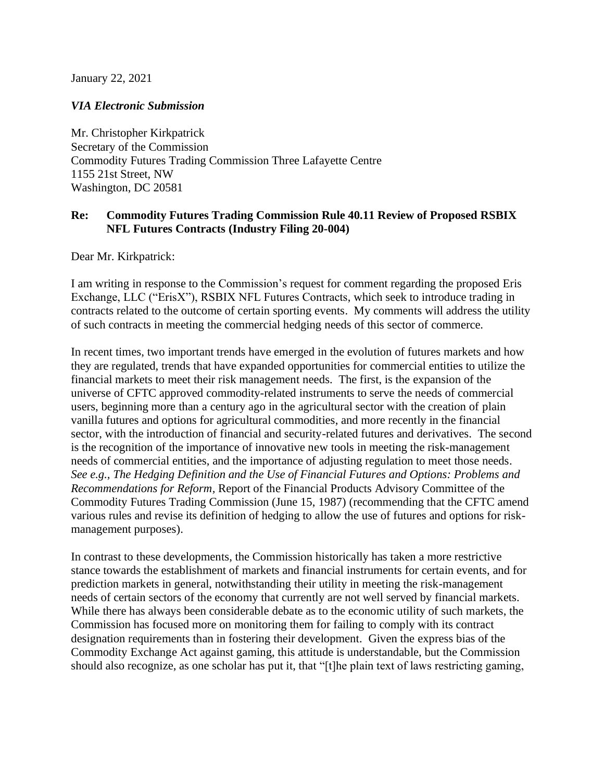January 22, 2021

## *VIA Electronic Submission*

Mr. Christopher Kirkpatrick Secretary of the Commission Commodity Futures Trading Commission Three Lafayette Centre 1155 21st Street, NW Washington, DC 20581

## **Re: Commodity Futures Trading Commission Rule 40.11 Review of Proposed RSBIX NFL Futures Contracts (Industry Filing 20-004)**

Dear Mr. Kirkpatrick:

I am writing in response to the Commission's request for comment regarding the proposed Eris Exchange, LLC ("ErisX"), RSBIX NFL Futures Contracts, which seek to introduce trading in contracts related to the outcome of certain sporting events. My comments will address the utility of such contracts in meeting the commercial hedging needs of this sector of commerce.

In recent times, two important trends have emerged in the evolution of futures markets and how they are regulated, trends that have expanded opportunities for commercial entities to utilize the financial markets to meet their risk management needs. The first, is the expansion of the universe of CFTC approved commodity-related instruments to serve the needs of commercial users, beginning more than a century ago in the agricultural sector with the creation of plain vanilla futures and options for agricultural commodities, and more recently in the financial sector, with the introduction of financial and security-related futures and derivatives. The second is the recognition of the importance of innovative new tools in meeting the risk-management needs of commercial entities, and the importance of adjusting regulation to meet those needs. *See e.g., The Hedging Definition and the Use of Financial Futures and Options: Problems and Recommendations for Reform,* Report of the Financial Products Advisory Committee of the Commodity Futures Trading Commission (June 15, 1987) (recommending that the CFTC amend various rules and revise its definition of hedging to allow the use of futures and options for riskmanagement purposes).

In contrast to these developments, the Commission historically has taken a more restrictive stance towards the establishment of markets and financial instruments for certain events, and for prediction markets in general, notwithstanding their utility in meeting the risk-management needs of certain sectors of the economy that currently are not well served by financial markets. While there has always been considerable debate as to the economic utility of such markets, the Commission has focused more on monitoring them for failing to comply with its contract designation requirements than in fostering their development. Given the express bias of the Commodity Exchange Act against gaming, this attitude is understandable, but the Commission should also recognize, as one scholar has put it, that "[t]he plain text of laws restricting gaming,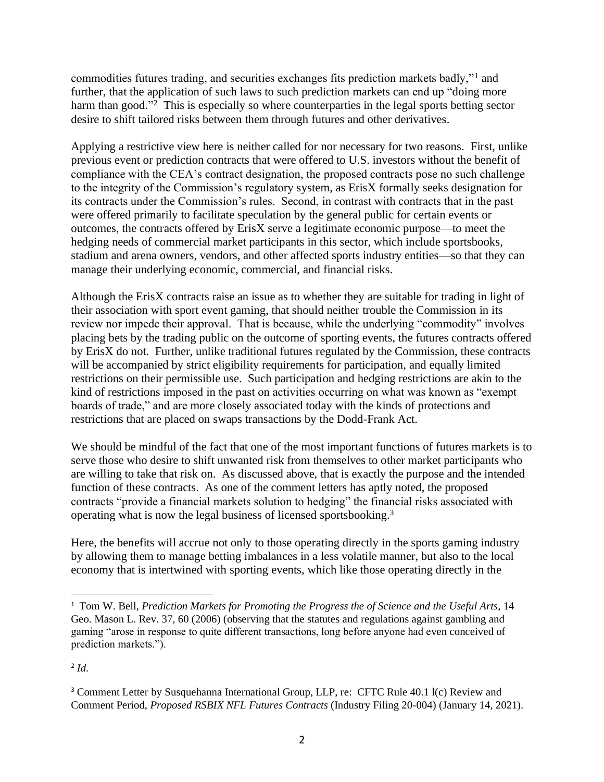commodities futures trading, and securities exchanges fits prediction markets badly,"<sup>1</sup> and further, that the application of such laws to such prediction markets can end up "doing more harm than good."<sup>2</sup> This is especially so where counterparties in the legal sports betting sector desire to shift tailored risks between them through futures and other derivatives.

Applying a restrictive view here is neither called for nor necessary for two reasons. First, unlike previous event or prediction contracts that were offered to U.S. investors without the benefit of compliance with the CEA's contract designation, the proposed contracts pose no such challenge to the integrity of the Commission's regulatory system, as ErisX formally seeks designation for its contracts under the Commission's rules. Second, in contrast with contracts that in the past were offered primarily to facilitate speculation by the general public for certain events or outcomes, the contracts offered by ErisX serve a legitimate economic purpose—to meet the hedging needs of commercial market participants in this sector, which include sportsbooks, stadium and arena owners, vendors, and other affected sports industry entities—so that they can manage their underlying economic, commercial, and financial risks.

Although the ErisX contracts raise an issue as to whether they are suitable for trading in light of their association with sport event gaming, that should neither trouble the Commission in its review nor impede their approval. That is because, while the underlying "commodity" involves placing bets by the trading public on the outcome of sporting events, the futures contracts offered by ErisX do not. Further, unlike traditional futures regulated by the Commission, these contracts will be accompanied by strict eligibility requirements for participation, and equally limited restrictions on their permissible use. Such participation and hedging restrictions are akin to the kind of restrictions imposed in the past on activities occurring on what was known as "exempt boards of trade," and are more closely associated today with the kinds of protections and restrictions that are placed on swaps transactions by the Dodd-Frank Act.

We should be mindful of the fact that one of the most important functions of futures markets is to serve those who desire to shift unwanted risk from themselves to other market participants who are willing to take that risk on. As discussed above, that is exactly the purpose and the intended function of these contracts. As one of the comment letters has aptly noted, the proposed contracts "provide a financial markets solution to hedging" the financial risks associated with operating what is now the legal business of licensed sportsbooking.<sup>3</sup>

Here, the benefits will accrue not only to those operating directly in the sports gaming industry by allowing them to manage betting imbalances in a less volatile manner, but also to the local economy that is intertwined with sporting events, which like those operating directly in the

2 *Id.*

<sup>1</sup> Tom W. Bell, *Prediction Markets for Promoting the Progress the of Science and the Useful Arts*, 14 Geo. Mason L. Rev. 37, 60 (2006) (observing that the statutes and regulations against gambling and gaming "arose in response to quite different transactions, long before anyone had even conceived of prediction markets.").

<sup>&</sup>lt;sup>3</sup> Comment Letter by Susquehanna International Group, LLP, re: CFTC Rule 40.1 l(c) Review and Comment Period, *Proposed RSBIX NFL Futures Contracts* (Industry Filing 20-004) (January 14, 2021).